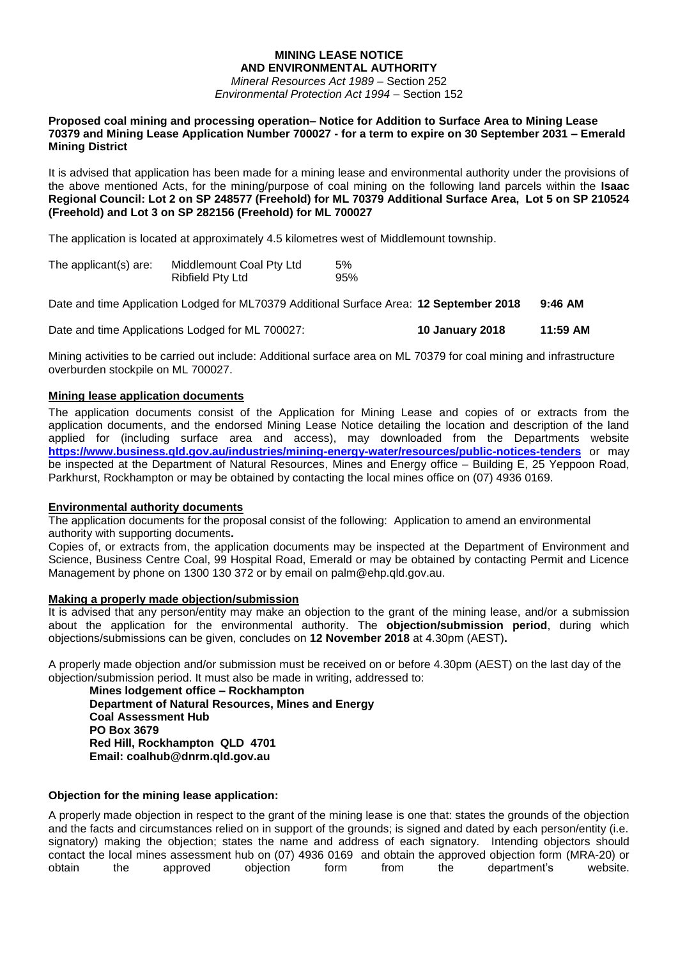### **MINING LEASE NOTICE AND ENVIRONMENTAL AUTHORITY**

*Mineral Resources Act 1989* – Section 252 *Environmental Protection Act 1994* – Section 152

#### **Proposed coal mining and processing operation– Notice for Addition to Surface Area to Mining Lease 70379 and Mining Lease Application Number 700027 - for a term to expire on 30 September 2031 – Emerald Mining District**

It is advised that application has been made for a mining lease and environmental authority under the provisions of the above mentioned Acts, for the mining/purpose of coal mining on the following land parcels within the **Isaac Regional Council: Lot 2 on SP 248577 (Freehold) for ML 70379 Additional Surface Area, Lot 5 on SP 210524 (Freehold) and Lot 3 on SP 282156 (Freehold) for ML 700027**

The application is located at approximately 4.5 kilometres west of Middlemount township.

| The applicant(s) are: | Middlemount Coal Pty Ltd | 5%  |
|-----------------------|--------------------------|-----|
|                       | <b>Ribfield Pty Ltd</b>  | 95% |

Date and time Application Lodged for ML70379 Additional Surface Area: **12 September 2018 9:46 AM**

Date and time Applications Lodged for ML 700027: **10 January 2018 11:59 AM**

Mining activities to be carried out include: Additional surface area on ML 70379 for coal mining and infrastructure overburden stockpile on ML 700027.

# **Mining lease application documents**

The application documents consist of the Application for Mining Lease and copies of or extracts from the application documents, and the endorsed Mining Lease Notice detailing the location and description of the land applied for (including surface area and access), may downloaded from the Departments website **<https://www.business.qld.gov.au/industries/mining-energy-water/resources/public-notices-tenders>** or may be inspected at the Department of Natural Resources, Mines and Energy office – Building E, 25 Yeppoon Road, Parkhurst, Rockhampton or may be obtained by contacting the local mines office on (07) 4936 0169.

#### **Environmental authority documents**

The application documents for the proposal consist of the following: Application to amend an environmental authority with supporting documents**.**

Copies of, or extracts from, the application documents may be inspected at the Department of Environment and Science, Business Centre Coal, 99 Hospital Road, Emerald or may be obtained by contacting Permit and Licence Management by phone on 1300 130 372 or by email on palm@ehp.qld.gov.au.

## **Making a properly made objection/submission**

It is advised that any person/entity may make an objection to the grant of the mining lease, and/or a submission about the application for the environmental authority. The **objection/submission period**, during which objections/submissions can be given, concludes on **12 November 2018** at 4.30pm (AEST)**.**

A properly made objection and/or submission must be received on or before 4.30pm (AEST) on the last day of the objection/submission period. It must also be made in writing, addressed to:

**Mines lodgement office – Rockhampton Department of Natural Resources, Mines and Energy Coal Assessment Hub PO Box 3679 Red Hill, Rockhampton QLD 4701 Email: coalhub@dnrm.qld.gov.au**

# **Objection for the mining lease application:**

A properly made objection in respect to the grant of the mining lease is one that: states the grounds of the objection and the facts and circumstances relied on in support of the grounds; is signed and dated by each person/entity (i.e. signatory) making the objection; states the name and address of each signatory. Intending objectors should contact the local mines assessment hub on (07) 4936 0169 and obtain the approved objection form (MRA-20) or obtain the approved objection form from the department's website.